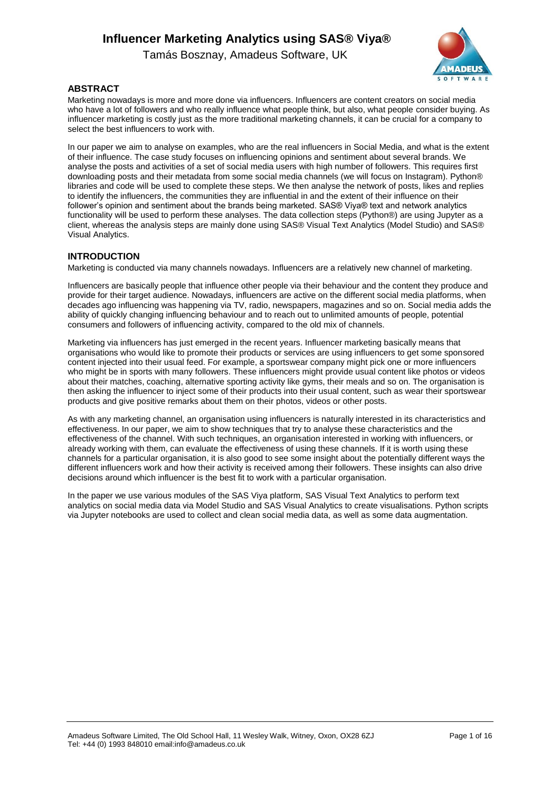Tamás Bosznay, Amadeus Software, UK



#### **ABSTRACT**

Marketing nowadays is more and more done via influencers. Influencers are content creators on social media who have a lot of followers and who really influence what people think, but also, what people consider buying. As influencer marketing is costly just as the more traditional marketing channels, it can be crucial for a company to select the best influencers to work with.

In our paper we aim to analyse on examples, who are the real influencers in Social Media, and what is the extent of their influence. The case study focuses on influencing opinions and sentiment about several brands. We analyse the posts and activities of a set of social media users with high number of followers. This requires first downloading posts and their metadata from some social media channels (we will focus on Instagram). Python® libraries and code will be used to complete these steps. We then analyse the network of posts, likes and replies to identify the influencers, the communities they are influential in and the extent of their influence on their follower's opinion and sentiment about the brands being marketed. SAS® Viya® text and network analytics functionality will be used to perform these analyses. The data collection steps (Python®) are using Jupyter as a client, whereas the analysis steps are mainly done using SAS® Visual Text Analytics (Model Studio) and SAS® Visual Analytics.

#### **INTRODUCTION**

Marketing is conducted via many channels nowadays. Influencers are a relatively new channel of marketing.

Influencers are basically people that influence other people via their behaviour and the content they produce and provide for their target audience. Nowadays, influencers are active on the different social media platforms, when decades ago influencing was happening via TV, radio, newspapers, magazines and so on. Social media adds the ability of quickly changing influencing behaviour and to reach out to unlimited amounts of people, potential consumers and followers of influencing activity, compared to the old mix of channels.

Marketing via influencers has just emerged in the recent years. Influencer marketing basically means that organisations who would like to promote their products or services are using influencers to get some sponsored content injected into their usual feed. For example, a sportswear company might pick one or more influencers who might be in sports with many followers. These influencers might provide usual content like photos or videos about their matches, coaching, alternative sporting activity like gyms, their meals and so on. The organisation is then asking the influencer to inject some of their products into their usual content, such as wear their sportswear products and give positive remarks about them on their photos, videos or other posts.

As with any marketing channel, an organisation using influencers is naturally interested in its characteristics and effectiveness. In our paper, we aim to show techniques that try to analyse these characteristics and the effectiveness of the channel. With such techniques, an organisation interested in working with influencers, or already working with them, can evaluate the effectiveness of using these channels. If it is worth using these channels for a particular organisation, it is also good to see some insight about the potentially different ways the different influencers work and how their activity is received among their followers. These insights can also drive decisions around which influencer is the best fit to work with a particular organisation.

In the paper we use various modules of the SAS Viya platform, SAS Visual Text Analytics to perform text analytics on social media data via Model Studio and SAS Visual Analytics to create visualisations. Python scripts via Jupyter notebooks are used to collect and clean social media data, as well as some data augmentation.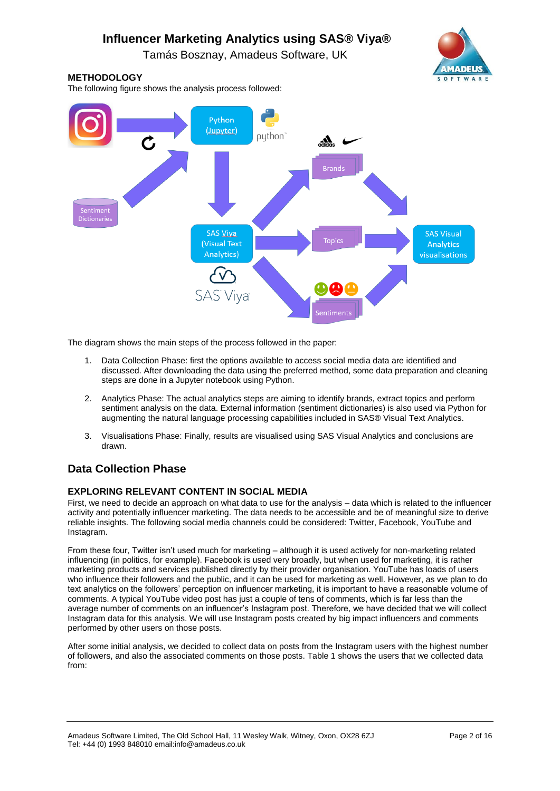

The diagram shows the main steps of the process followed in the paper:

- 1. Data Collection Phase: first the options available to access social media data are identified and discussed. After downloading the data using the preferred method, some data preparation and cleaning steps are done in a Jupyter notebook using Python.
- 2. Analytics Phase: The actual analytics steps are aiming to identify brands, extract topics and perform sentiment analysis on the data. External information (sentiment dictionaries) is also used via Python for augmenting the natural language processing capabilities included in SAS® Visual Text Analytics.
- 3. Visualisations Phase: Finally, results are visualised using SAS Visual Analytics and conclusions are drawn.

## **Data Collection Phase**

### **EXPLORING RELEVANT CONTENT IN SOCIAL MEDIA**

First, we need to decide an approach on what data to use for the analysis – data which is related to the influencer activity and potentially influencer marketing. The data needs to be accessible and be of meaningful size to derive reliable insights. The following social media channels could be considered: Twitter, Facebook, YouTube and Instagram.

From these four, Twitter isn't used much for marketing – although it is used actively for non-marketing related influencing (in politics, for example). Facebook is used very broadly, but when used for marketing, it is rather marketing products and services published directly by their provider organisation. YouTube has loads of users who influence their followers and the public, and it can be used for marketing as well. However, as we plan to do text analytics on the followers' perception on influencer marketing, it is important to have a reasonable volume of comments. A typical YouTube video post has just a couple of tens of comments, which is far less than the average number of comments on an influencer's Instagram post. Therefore, we have decided that we will collect Instagram data for this analysis. We will use Instagram posts created by big impact influencers and comments performed by other users on those posts.

After some initial analysis, we decided to collect data on posts from the Instagram users with the highest number of followers, and also the associated comments on those posts. Table 1 shows the users that we collected data from:

Amadeus Software Limited, The Old School Hall, 11 Wesley Walk, Witney, Oxon, OX28 6ZJ Page 2 of 16 Tel: +44 (0) 1993 848010 email:info@amadeus.co.uk



**OFTWAR** 

## **METHODOLOGY**

The following figure shows the analysis process followed: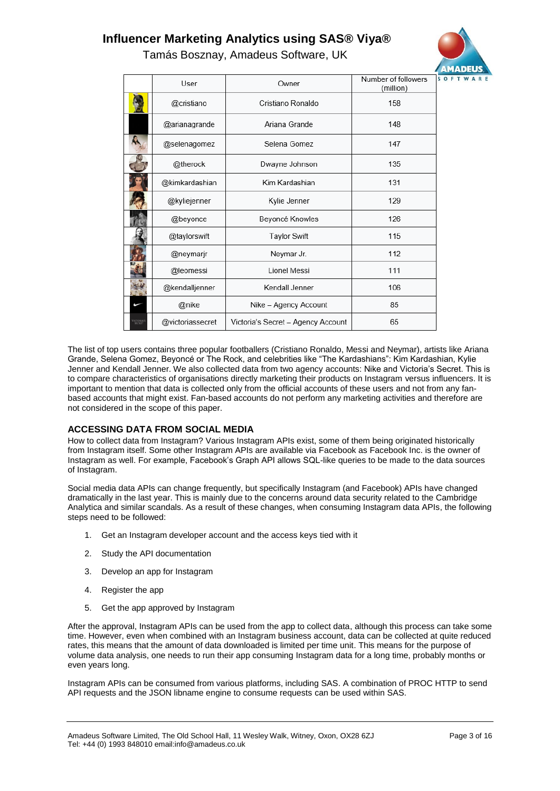Tamás Bosznay, Amadeus Software, UK



|                      | User             | Owner                              | Number of followers<br>Ŝ<br>(million) |
|----------------------|------------------|------------------------------------|---------------------------------------|
|                      | @cristiano       | Cristiano Ronaldo                  | 158                                   |
|                      | @arianagrande    | Ariana Grande                      | 148                                   |
|                      | @selenagomez     | Selena Gomez                       | 147                                   |
|                      | @therock         | Dwayne Johnson                     | 135                                   |
|                      | @kimkardashian   | Kim Kardashian                     | 131                                   |
|                      | @kyliejenner     | Kylie Jenner                       | 129                                   |
|                      | @beyonce         | Beyoncé Knowles                    | 126                                   |
|                      | @taylorswift     | <b>Taylor Swift</b>                | 115                                   |
|                      | @neymarjr        | Neymar Jr.                         | 112                                   |
|                      | @leomessi        | Lionel Messi                       | 111                                   |
|                      | @kendalljenner   | Kendall Jenner                     | 106                                   |
|                      | @nike            | Nike - Agency Account              | 85                                    |
| <b><i>SECRET</i></b> | @victoriassecret | Victoria's Secret - Agency Account | 65                                    |

The list of top users contains three popular footballers (Cristiano Ronaldo, Messi and Neymar), artists like Ariana Grande, Selena Gomez, Beyoncé or The Rock, and celebrities like "The Kardashians": Kim Kardashian, Kylie Jenner and Kendall Jenner. We also collected data from two agency accounts: Nike and Victoria's Secret. This is to compare characteristics of organisations directly marketing their products on Instagram versus influencers. It is important to mention that data is collected only from the official accounts of these users and not from any fanbased accounts that might exist. Fan-based accounts do not perform any marketing activities and therefore are not considered in the scope of this paper.

### ACCESSING DATA FROM SOCIAL MEDIA

How to collect data from Instagram? Various Instagram APIs exist, some of them being originated historically from Instagram itself. Some other Instagram APIs are available via Facebook as Facebook Inc. is the owner of Instagram as well. For example, Facebook's Graph API allows SQL-like queries to be made to the data sources of Instagram.

Social media data APIs can change frequently, but specifically Instagram (and Facebook) APIs have changed dramatically in the last year. This is mainly due to the concerns around data security related to the Cambridge Analytica and similar scandals. As a result of these changes, when consuming Instagram data APIs, the following steps need to be followed:

- 1. Get an Instagram developer account and the access keys tied with it
- 2. Study the API documentation
- 3. Develop an app for Instagram
- 4. Register the app
- 5. Get the app approved by Instagram

After the approval, Instagram APIs can be used from the app to collect data, although this process can take some time. However, even when combined with an Instagram business account, data can be collected at quite reduced rates, this means that the amount of data downloaded is limited per time unit. This means for the purpose of volume data analysis, one needs to run their app consuming Instagram data for a long time, probably months or even years long.

Instagram APIs can be consumed from various platforms, including SAS. A combination of PROC HTTP to send API requests and the JSON libname engine to consume requests can be used within SAS.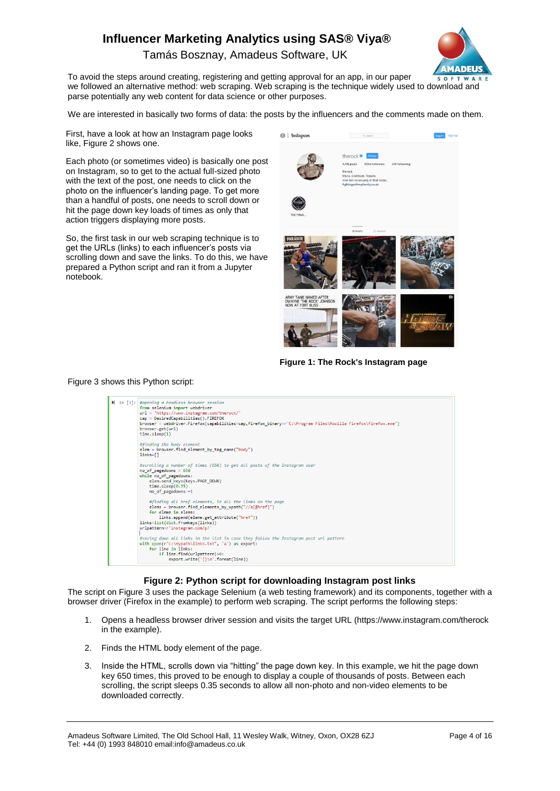Tamás Bosznay, Amadeus Software, UK



To avoid the steps around creating, registering and getting approval for an app, in our paper we followed an alternative method: web scraping. Web scraping is the technique widely used to download and parse potentially any web content for data science or other purposes.

We are interested in basically two forms of data: the posts by the influencers and the comments made on them.

First, have a look at how an Instagram page looks like, Figure 2 shows one.

Each photo (or sometimes video) is basically one post on Instagram, so to get to the actual full-sized photo with the text of the post, one needs to click on the photo on the influencer's landing page. To get more than a handful of posts, one needs to scroll down or hit the page down key loads of times as only that action triggers displaying more posts.

So, the first task in our web scraping technique is to get the URLs (links) to each influencer's posts via scrolling down and save the links. To do this, we have prepared a Python script and ran it from a Jupyter notebook.



**Figure 1: The Rock's Instagram page**

#### Figure 3 shows this Python script:



#### **Figure 2: Python script for downloading Instagram post links**

The script on Figure 3 uses the package Selenium (a web testing framework) and its components, together with a browser driver (Firefox in the example) to perform web scraping. The script performs the following steps:

- 1. Opens a headless browser driver session and visits the target URL [\(https://www.instagram.com/therock](https://www.instagram.com/therock) in the example).
- 2. Finds the HTML body element of the page.
- 3. Inside the HTML, scrolls down via "hitting" the page down key. In this example, we hit the page down key 650 times, this proved to be enough to display a couple of thousands of posts. Between each scrolling, the script sleeps 0.35 seconds to allow all non-photo and non-video elements to be downloaded correctly.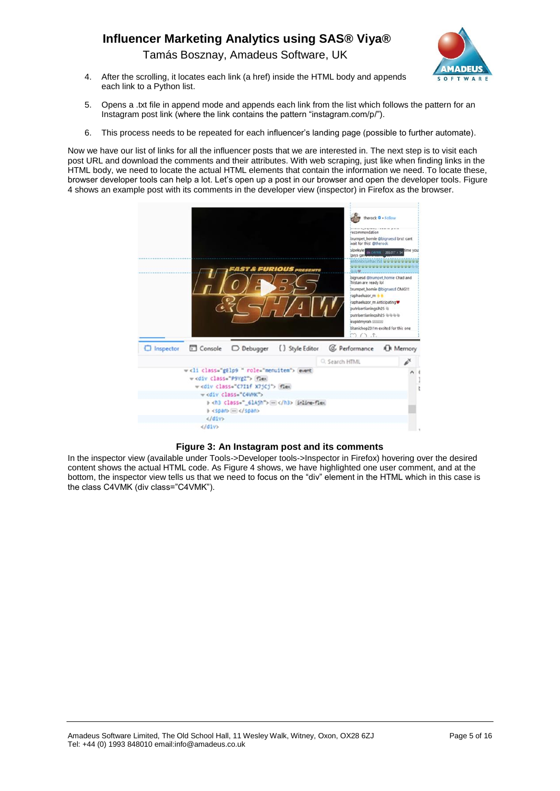Tamás Bosznay, Amadeus Software, UK



- 4. After the scrolling, it locates each link (a href) inside the HTML body and appends each link to a Python list.
- 5. Opens a .txt file in append mode and appends each link from the list which follows the pattern for an Instagram post link (where the link contains the pattern "instagram.com/p/").
- 6. This process needs to be repeated for each influencer's landing page (possible to further automate).

Now we have our list of links for all the influencer posts that we are interested in. The next step is to visit each post URL and download the comments and their attributes. With web scraping, just like when finding links in the HTML body, we need to locate the actual HTML elements that contain the information we need. To locate these, browser developer tools can help a lot. Let's open up a post in our browser and open the developer tools. Figure 4 shows an example post with its comments in the developer view (inspector) in Firefox as the browser.



#### **Figure 3: An Instagram post and its comments**

In the inspector view (available under Tools->Developer tools->Inspector in Firefox) hovering over the desired content shows the actual HTML code. As Figure 4 shows, we have highlighted one user comment, and at the bottom, the inspector view tells us that we need to focus on the "div" element in the HTML which in this case is the class C4VMK (div class="C4VMK").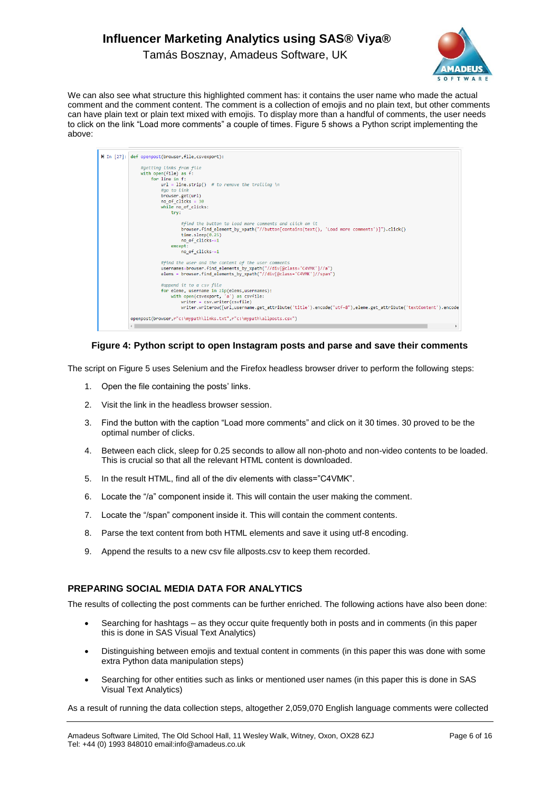

Tamás Bosznay, Amadeus Software, UK

We can also see what structure this highlighted comment has: it contains the user name who made the actual comment and the comment content. The comment is a collection of emojis and no plain text, but other comments can have plain text or plain text mixed with emojis. To display more than a handful of comments, the user needs to click on the link "Load more comments" a couple of times. Figure 5 shows a Python script implementing the above:

| M In [27]: def openpost(browser, file, csvexport):                                                             |  |
|----------------------------------------------------------------------------------------------------------------|--|
| #getting Links from file<br>with open(file) as f:                                                              |  |
|                                                                                                                |  |
| for line in f:                                                                                                 |  |
| $url = line.strip()$ # to remove the trailing \n                                                               |  |
| #go to Link                                                                                                    |  |
| browser.get(url)                                                                                               |  |
| no of clicks = $30$                                                                                            |  |
| while no of clicks:                                                                                            |  |
| try:                                                                                                           |  |
|                                                                                                                |  |
| #find the button to load more comments and click on it                                                         |  |
| browser.find element by xpath("//button[contains(text(), 'Load more comments')]").click()                      |  |
| time.sleep(0.25)                                                                                               |  |
| no of clicks-=1                                                                                                |  |
| except:                                                                                                        |  |
| no of clicks-=1                                                                                                |  |
|                                                                                                                |  |
| #find the user and the content of the user comments                                                            |  |
| usernames=browser.find elements by xpath("//div[@class='C4VMK']//a")                                           |  |
| elems = browser.find elements by xpath("//div[@class='C4VMK']//span")                                          |  |
|                                                                                                                |  |
| #append it to a csv file                                                                                       |  |
| for eleme, username in zip(elems, usernames):                                                                  |  |
| with open(csvexport, 'a') as csvfile:                                                                          |  |
| $writer = csv.writer(csvfile)$                                                                                 |  |
| writer.writerow([url,username.get attribute('title').encode("utf-8"),eleme.get attribute('textContent').encode |  |
|                                                                                                                |  |
| openpost(browser, r"c:\mypath\links.txt", r"c:\mypath\allposts.csv")                                           |  |
|                                                                                                                |  |
|                                                                                                                |  |

#### **Figure 4: Python script to open Instagram posts and parse and save their comments**

The script on Figure 5 uses Selenium and the Firefox headless browser driver to perform the following steps:

- 1. Open the file containing the posts' links.
- 2. Visit the link in the headless browser session.
- 3. Find the button with the caption "Load more comments" and click on it 30 times. 30 proved to be the optimal number of clicks.
- 4. Between each click, sleep for 0.25 seconds to allow all non-photo and non-video contents to be loaded. This is crucial so that all the relevant HTML content is downloaded.
- 5. In the result HTML, find all of the div elements with class="C4VMK".
- 6. Locate the "/a" component inside it. This will contain the user making the comment.
- 7. Locate the "/span" component inside it. This will contain the comment contents.
- 8. Parse the text content from both HTML elements and save it using utf-8 encoding.
- 9. Append the results to a new csv file allposts.csv to keep them recorded.

#### **PREPARING SOCIAL MEDIA DATA FOR ANALYTICS**

The results of collecting the post comments can be further enriched. The following actions have also been done:

- Searching for hashtags as they occur quite frequently both in posts and in comments (in this paper this is done in SAS Visual Text Analytics)
- Distinguishing between emojis and textual content in comments (in this paper this was done with some extra Python data manipulation steps)
- Searching for other entities such as links or mentioned user names (in this paper this is done in SAS Visual Text Analytics)

As a result of running the data collection steps, altogether 2,059,070 English language comments were collected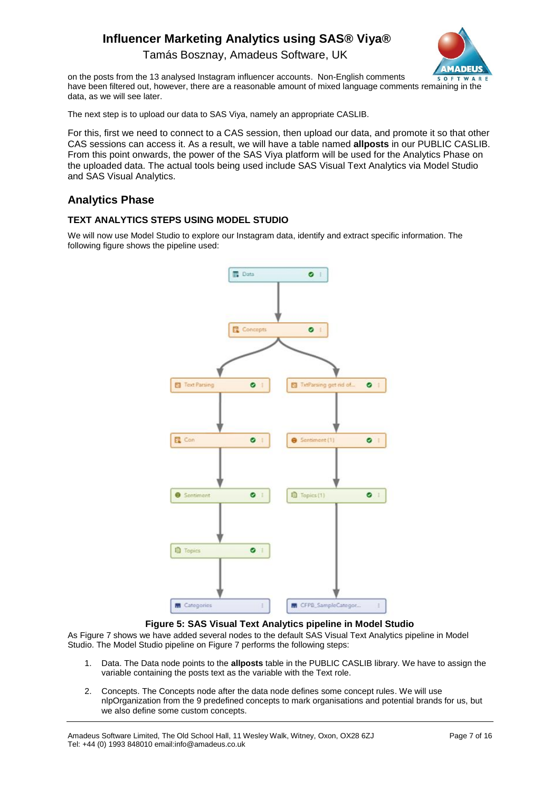Tamás Bosznay, Amadeus Software, UK



on the posts from the 13 analysed Instagram influencer accounts. Non-English comments have been filtered out, however, there are a reasonable amount of mixed language comments remaining in the data, as we will see later.

The next step is to upload our data to SAS Viya, namely an appropriate CASLIB.

For this, first we need to connect to a CAS session, then upload our data, and promote it so that other CAS sessions can access it. As a result, we will have a table named **allposts** in our PUBLIC CASLIB. From this point onwards, the power of the SAS Viya platform will be used for the Analytics Phase on the uploaded data. The actual tools being used include SAS Visual Text Analytics via Model Studio and SAS Visual Analytics.

## **Analytics Phase**

## **TEXT ANALYTICS STEPS USING MODEL STUDIO**

We will now use Model Studio to explore our Instagram data, identify and extract specific information. The following figure shows the pipeline used:



**Figure 5: SAS Visual Text Analytics pipeline in Model Studio**

As Figure 7 shows we have added several nodes to the default SAS Visual Text Analytics pipeline in Model Studio. The Model Studio pipeline on Figure 7 performs the following steps:

- 1. Data. The Data node points to the **allposts** table in the PUBLIC CASLIB library. We have to assign the variable containing the posts text as the variable with the Text role.
- 2. Concepts. The Concepts node after the data node defines some concept rules. We will use nlpOrganization from the 9 predefined concepts to mark organisations and potential brands for us, but we also define some custom concepts.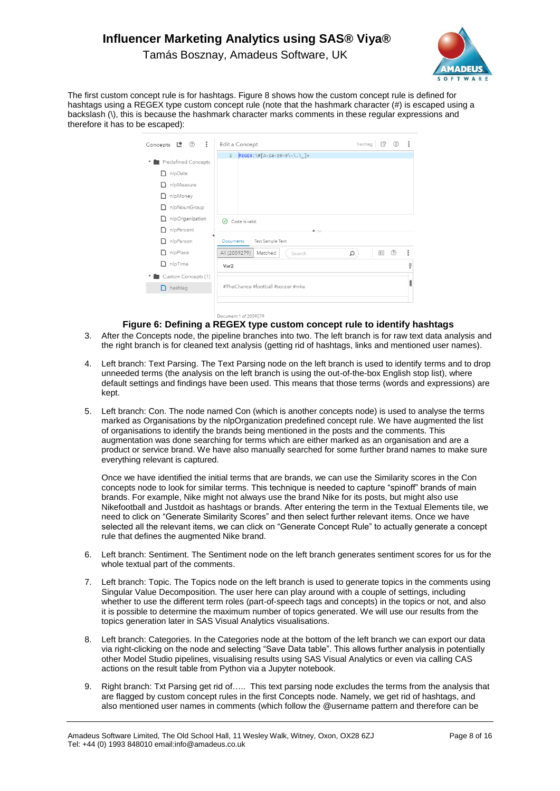Tamás Bosznay, Amadeus Software, UK



The first custom concept rule is for hashtags. Figure 8 shows how the custom concept rule is defined for hashtags using a REGEX type custom concept rule (note that the hashmark character (#) is escaped using a backslash (\), this is because the hashmark character marks comments in these regular expressions and therefore it has to be escaped):

| $\mathbf{H}$<br>Concepts n ① | hashtag<br>Edit a Concept                        | ≌ | $\circledR$ | $\ddot{\cdot}$ |
|------------------------------|--------------------------------------------------|---|-------------|----------------|
|                              | $REGEX: \#[A-Za-z0-9\\-\\.\\] +$<br>$\mathbf{1}$ |   |             |                |
| <b>Predefined Concepts</b>   |                                                  |   |             |                |
| nlpDate<br>n                 |                                                  |   |             |                |
| nlpMeasure<br>n              |                                                  |   |             |                |
| nlpMoney<br>n                |                                                  |   |             |                |
| nlpNounGroup<br>n            |                                                  |   |             |                |
| nlpOrganization<br>n         | ∞<br>Code is valid.                              |   |             |                |
| nipPercent<br>n              | A.                                               |   |             |                |
| nipPerson<br>n               | Test Sample Text<br>Documents                    |   |             |                |
| nipPlace<br>n                | All (2059279)<br>Matched<br>Q<br>Search          | E | (?)         | $\ddot{\cdot}$ |
| nlpTime<br>n                 | Var <sub>2</sub>                                 |   |             | Ê              |
| Custom Concepts (1)          |                                                  |   |             |                |
| $\Box$ hashtag               | #TheChance #football #soccer #nike               |   |             |                |
|                              |                                                  |   |             |                |
|                              | Document 1 of 2059279                            |   |             |                |

#### **Figure 6: Defining a REGEX type custom concept rule to identify hashtags**

- 3. After the Concepts node, the pipeline branches into two. The left branch is for raw text data analysis and the right branch is for cleaned text analysis (getting rid of hashtags, links and mentioned user names).
- 4. Left branch: Text Parsing. The Text Parsing node on the left branch is used to identify terms and to drop unneeded terms (the analysis on the left branch is using the out-of-the-box English stop list), where default settings and findings have been used. This means that those terms (words and expressions) are kept.
- 5. Left branch: Con. The node named Con (which is another concepts node) is used to analyse the terms marked as Organisations by the nlpOrganization predefined concept rule. We have augmented the list of organisations to identify the brands being mentioned in the posts and the comments. This augmentation was done searching for terms which are either marked as an organisation and are a product or service brand. We have also manually searched for some further brand names to make sure everything relevant is captured.

Once we have identified the initial terms that are brands, we can use the Similarity scores in the Con concepts node to look for similar terms. This technique is needed to capture "spinoff" brands of main brands. For example, Nike might not always use the brand Nike for its posts, but might also use Nikefootball and Justdoit as hashtags or brands. After entering the term in the Textual Elements tile, we need to click on "Generate Similarity Scores" and then select further relevant items. Once we have selected all the relevant items, we can click on "Generate Concept Rule" to actually generate a concept rule that defines the augmented Nike brand.

- 6. Left branch: Sentiment. The Sentiment node on the left branch generates sentiment scores for us for the whole textual part of the comments.
- 7. Left branch: Topic. The Topics node on the left branch is used to generate topics in the comments using Singular Value Decomposition. The user here can play around with a couple of settings, including whether to use the different term roles (part-of-speech tags and concepts) in the topics or not, and also it is possible to determine the maximum number of topics generated. We will use our results from the topics generation later in SAS Visual Analytics visualisations.
- 8. Left branch: Categories. In the Categories node at the bottom of the left branch we can export our data via right-clicking on the node and selecting "Save Data table". This allows further analysis in potentially other Model Studio pipelines, visualising results using SAS Visual Analytics or even via calling CAS actions on the result table from Python via a Jupyter notebook.
- 9. Right branch: Txt Parsing get rid of….. This text parsing node excludes the terms from the analysis that are flagged by custom concept rules in the first Concepts node. Namely, we get rid of hashtags, and also mentioned user names in comments (which follow the @username pattern and therefore can be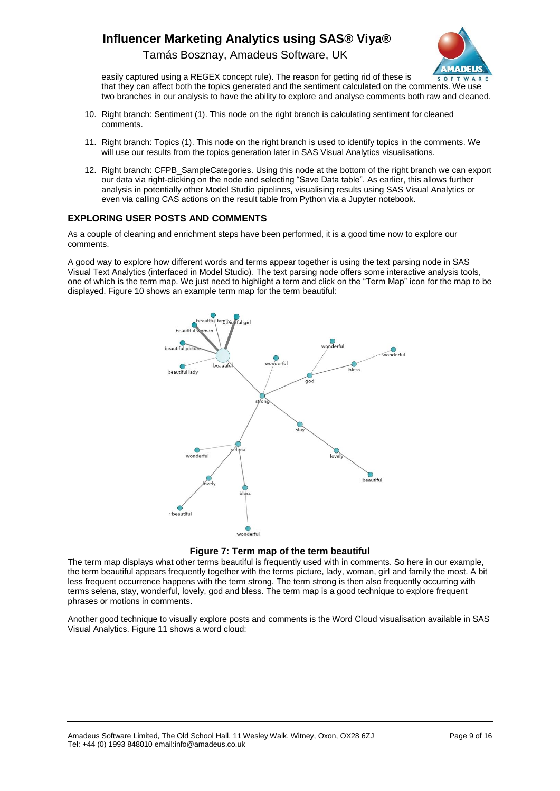Tamás Bosznay, Amadeus Software, UK



easily captured using a REGEX concept rule). The reason for getting rid of these is that they can affect both the topics generated and the sentiment calculated on the comments. We use two branches in our analysis to have the ability to explore and analyse comments both raw and cleaned.

- 10. Right branch: Sentiment (1). This node on the right branch is calculating sentiment for cleaned comments.
- 11. Right branch: Topics (1). This node on the right branch is used to identify topics in the comments. We will use our results from the topics generation later in SAS Visual Analytics visualisations.
- 12. Right branch: CFPB\_SampleCategories. Using this node at the bottom of the right branch we can export our data via right-clicking on the node and selecting "Save Data table". As earlier, this allows further analysis in potentially other Model Studio pipelines, visualising results using SAS Visual Analytics or even via calling CAS actions on the result table from Python via a Jupyter notebook.

#### **EXPLORING USER POSTS AND COMMENTS**

As a couple of cleaning and enrichment steps have been performed, it is a good time now to explore our comments.

A good way to explore how different words and terms appear together is using the text parsing node in SAS Visual Text Analytics (interfaced in Model Studio). The text parsing node offers some interactive analysis tools, one of which is the term map. We just need to highlight a term and click on the "Term Map" icon for the map to be displayed. Figure 10 shows an example term map for the term beautiful:





The term map displays what other terms beautiful is frequently used with in comments. So here in our example, the term beautiful appears frequently together with the terms picture, lady, woman, girl and family the most. A bit less frequent occurrence happens with the term strong. The term strong is then also frequently occurring with terms selena, stay, wonderful, lovely, god and bless. The term map is a good technique to explore frequent phrases or motions in comments.

Another good technique to visually explore posts and comments is the Word Cloud visualisation available in SAS Visual Analytics. Figure 11 shows a word cloud: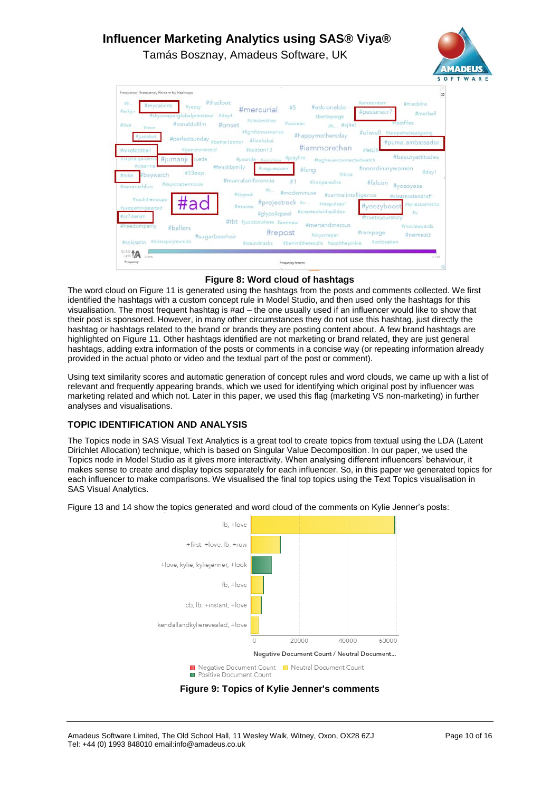Tamás Bosznay, Amadeus Software, UK





**Figure 8: Word cloud of hashtags**

The word cloud on Figure 11 is generated using the hashtags from the posts and comments collected. We first identified the hashtags with a custom concept rule in Model Studio, and then used only the hashtags for this visualisation. The most frequent hashtag is #ad – the one usually used if an influencer would like to show that their post is sponsored. However, in many other circumstances they do not use this hashtag, just directly the hashtag or hashtags related to the brand or brands they are posting content about. A few brand hashtags are highlighted on Figure 11. Other hashtags identified are not marketing or brand related, they are just general hashtags, adding extra information of the posts or comments in a concise way (or repeating information already provided in the actual photo or video and the textual part of the post or comment).

Using text similarity scores and automatic generation of concept rules and word clouds, we came up with a list of relevant and frequently appearing brands, which we used for identifying which original post by influencer was marketing related and which not. Later in this paper, we used this flag (marketing VS non-marketing) in further analyses and visualisations.

## **TOPIC IDENTIFICATION AND ANALYSIS**

The Topics node in SAS Visual Text Analytics is a great tool to create topics from textual using the LDA (Latent Dirichlet Allocation) technique, which is based on Singular Value Decomposition. In our paper, we used the Topics node in Model Studio as it gives more interactivity. When analysing different influencers' behaviour, it makes sense to create and display topics separately for each influencer. So, in this paper we generated topics for each influencer to make comparisons. We visualised the final top topics using the Text Topics visualisation in SAS Visual Analytics.

Figure 13 and 14 show the topics generated and word cloud of the comments on Kylie Jenner's posts:

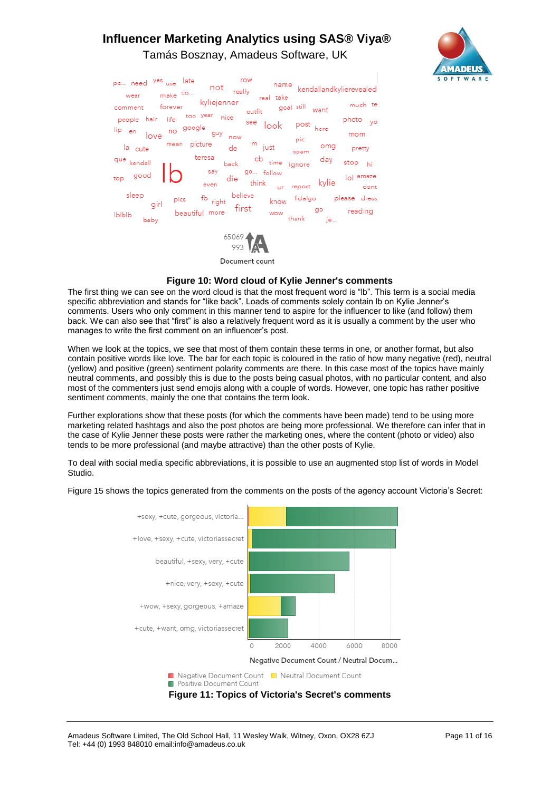# **Influencer Marketing Analytics using SAS® Viya®** Tamás Bosznay, Amadeus Software, UK



| row<br>pe need yes use late<br>name<br>$not$ $_{\text{really}}$<br>kendallandkylierevealed<br>make co<br>wear<br>real take                       |  |
|--------------------------------------------------------------------------------------------------------------------------------------------------|--|
| forever kyliejenner<br>much te<br>outfit goal still<br>comment<br>want                                                                           |  |
| people hair life too year nice<br>photo <sub>yo</sub><br>see look<br>post<br>no google<br>here<br>lip <sub>en</sub><br>guy<br>mom<br>love<br>now |  |
| pic<br>$\mathsf{im}_{\mathsf{just}}$<br>mean picture<br>omg<br>la cute<br>de<br>pretty<br>spam                                                   |  |
| teresa<br>day <sub>stop hi</sub><br>cb <sub>time ignore</sub><br>que<br>kendall<br>back                                                          |  |
| say<br>go follow<br>n<br>top good<br>repost kylie lol amaze<br>die<br>think<br>even<br>ur                                                        |  |
| sleep<br>believe<br>$\overline{f}$ right<br>know fidalgo please dress<br>pics<br>girl                                                            |  |
| $\begin{tabular}{ll} \bf \emph{beautiful more} & \bf \emph{first} \\ \end{tabular}$<br>go<br>reading<br>wow<br><b>Ibibib</b><br>thank je<br>baby |  |
| 65069                                                                                                                                            |  |

Document count

#### **Figure 10: Word cloud of Kylie Jenner's comments**

The first thing we can see on the word cloud is that the most frequent word is "lb". This term is a social media specific abbreviation and stands for "like back". Loads of comments solely contain lb on Kylie Jenner's comments. Users who only comment in this manner tend to aspire for the influencer to like (and follow) them back. We can also see that "first" is also a relatively frequent word as it is usually a comment by the user who manages to write the first comment on an influencer's post.

When we look at the topics, we see that most of them contain these terms in one, or another format, but also contain positive words like love. The bar for each topic is coloured in the ratio of how many negative (red), neutral (yellow) and positive (green) sentiment polarity comments are there. In this case most of the topics have mainly neutral comments, and possibly this is due to the posts being casual photos, with no particular content, and also most of the commenters just send emojis along with a couple of words. However, one topic has rather positive sentiment comments, mainly the one that contains the term look.

Further explorations show that these posts (for which the comments have been made) tend to be using more marketing related hashtags and also the post photos are being more professional. We therefore can infer that in the case of Kylie Jenner these posts were rather the marketing ones, where the content (photo or video) also tends to be more professional (and maybe attractive) than the other posts of Kylie.

To deal with social media specific abbreviations, it is possible to use an augmented stop list of words in Model Studio.

Figure 15 shows the topics generated from the comments on the posts of the agency account Victoria's Secret:

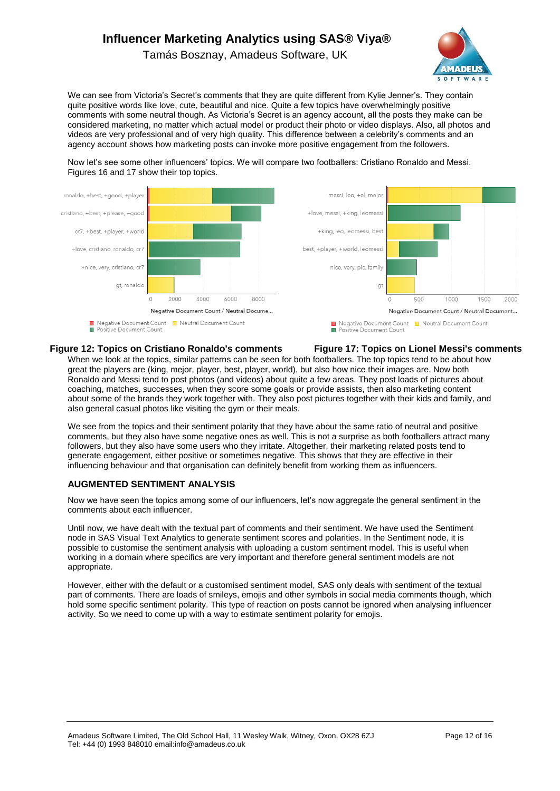Tamás Bosznay, Amadeus Software, UK



We can see from Victoria's Secret's comments that they are quite different from Kylie Jenner's. They contain quite positive words like love, cute, beautiful and nice. Quite a few topics have overwhelmingly positive comments with some neutral though. As Victoria's Secret is an agency account, all the posts they make can be considered marketing, no matter which actual model or product their photo or video displays. Also, all photos and videos are very professional and of very high quality. This difference between a celebrity's comments and an agency account shows how marketing posts can invoke more positive engagement from the followers.

Now let's see some other influencers' topics. We will compare two footballers: Cristiano Ronaldo and Messi. Figures 16 and 17 show their top topics.



#### **Figure 12: Topics on Cristiano Ronaldo's comments Figure 17: Topics on Lionel Messi's comments**

When we look at the topics, similar patterns can be seen for both footballers. The top topics tend to be about how great the players are (king, mejor, player, best, player, world), but also how nice their images are. Now both Ronaldo and Messi tend to post photos (and videos) about quite a few areas. They post loads of pictures about coaching, matches, successes, when they score some goals or provide assists, then also marketing content about some of the brands they work together with. They also post pictures together with their kids and family, and also general casual photos like visiting the gym or their meals.

We see from the topics and their sentiment polarity that they have about the same ratio of neutral and positive comments, but they also have some negative ones as well. This is not a surprise as both footballers attract many followers, but they also have some users who they irritate. Altogether, their marketing related posts tend to generate engagement, either positive or sometimes negative. This shows that they are effective in their influencing behaviour and that organisation can definitely benefit from working them as influencers.

#### **AUGMENTED SENTIMENT ANALYSIS**

Now we have seen the topics among some of our influencers, let's now aggregate the general sentiment in the comments about each influencer.

Until now, we have dealt with the textual part of comments and their sentiment. We have used the Sentiment node in SAS Visual Text Analytics to generate sentiment scores and polarities. In the Sentiment node, it is possible to customise the sentiment analysis with uploading a custom sentiment model. This is useful when working in a domain where specifics are very important and therefore general sentiment models are not appropriate.

However, either with the default or a customised sentiment model, SAS only deals with sentiment of the textual part of comments. There are loads of smileys, emojis and other symbols in social media comments though, which hold some specific sentiment polarity. This type of reaction on posts cannot be ignored when analysing influencer activity. So we need to come up with a way to estimate sentiment polarity for emojis.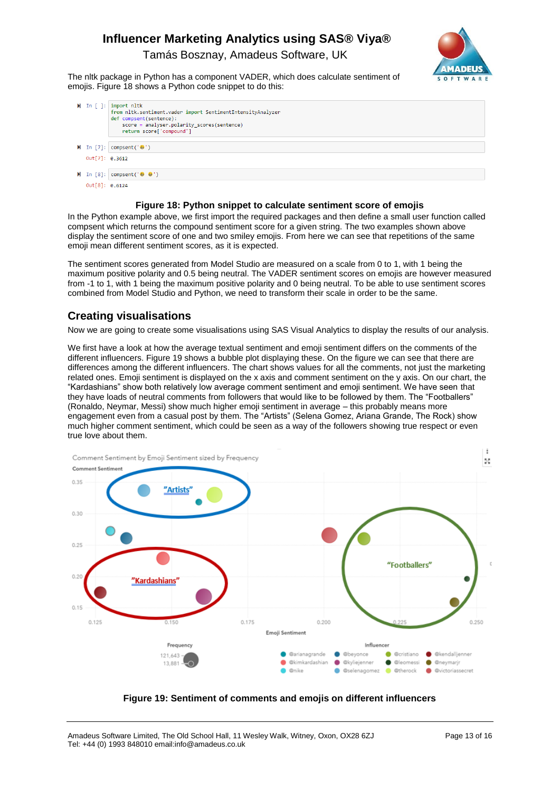Tamás Bosznay, Amadeus Software, UK



The nltk package in Python has a component VADER, which does calculate sentiment of emojis. Figure 18 shows a Python code snippet to do this:

|                | $\blacktriangleright$ In [ ]: import nltk<br>from nltk.sentiment.vader import SentimentIntensityAnalyzer<br>def compsent(sentence):<br>score = analyser.polarity scores(sentence)<br>return score['compound'] |
|----------------|---------------------------------------------------------------------------------------------------------------------------------------------------------------------------------------------------------------|
|                | $\mathbb{M}$ In [7]: compsent(' $\mathbb{G}'$ ')                                                                                                                                                              |
| Out[7]: 0.3612 |                                                                                                                                                                                                               |
|                | $\mathsf{M}$ In [8]: compsent(' $\mathsf{G}$ $\mathsf{G}'$ ')                                                                                                                                                 |
| Out[8]: 0.6124 |                                                                                                                                                                                                               |

#### **Figure 18: Python snippet to calculate sentiment score of emojis**

In the Python example above, we first import the required packages and then define a small user function called compsent which returns the compound sentiment score for a given string. The two examples shown above display the sentiment score of one and two smiley emojis. From here we can see that repetitions of the same emoji mean different sentiment scores, as it is expected.

The sentiment scores generated from Model Studio are measured on a scale from 0 to 1, with 1 being the maximum positive polarity and 0.5 being neutral. The VADER sentiment scores on emojis are however measured from -1 to 1, with 1 being the maximum positive polarity and 0 being neutral. To be able to use sentiment scores combined from Model Studio and Python, we need to transform their scale in order to be the same.

## **Creating visualisations**

Now we are going to create some visualisations using SAS Visual Analytics to display the results of our analysis.

We first have a look at how the average textual sentiment and emoji sentiment differs on the comments of the different influencers. Figure 19 shows a bubble plot displaying these. On the figure we can see that there are differences among the different influencers. The chart shows values for all the comments, not just the marketing related ones. Emoji sentiment is displayed on the x axis and comment sentiment on the y axis. On our chart, the "Kardashians" show both relatively low average comment sentiment and emoji sentiment. We have seen that they have loads of neutral comments from followers that would like to be followed by them. The "Footballers" (Ronaldo, Neymar, Messi) show much higher emoji sentiment in average – this probably means more engagement even from a casual post by them. The "Artists" (Selena Gomez, Ariana Grande, The Rock) show much higher comment sentiment, which could be seen as a way of the followers showing true respect or even true love about them.



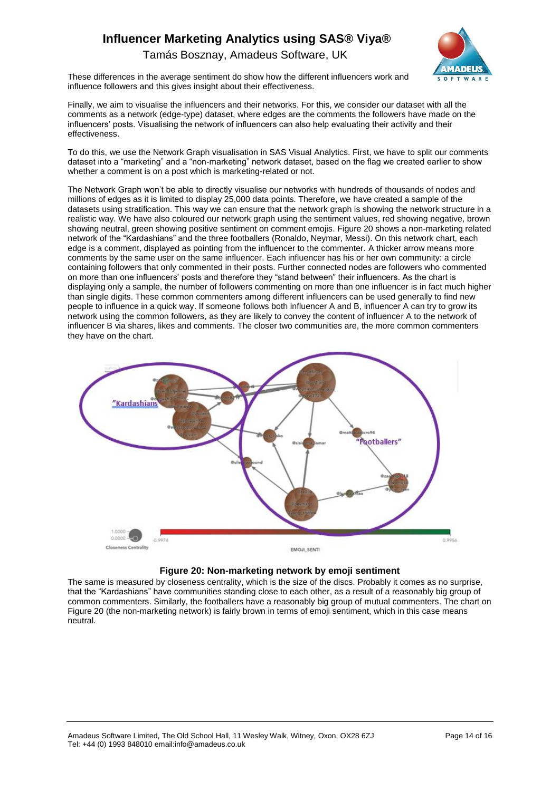**ADEUS OFTWAR** 

Tamás Bosznay, Amadeus Software, UK

These differences in the average sentiment do show how the different influencers work and influence followers and this gives insight about their effectiveness.

Finally, we aim to visualise the influencers and their networks. For this, we consider our dataset with all the comments as a network (edge-type) dataset, where edges are the comments the followers have made on the influencers' posts. Visualising the network of influencers can also help evaluating their activity and their effectiveness.

To do this, we use the Network Graph visualisation in SAS Visual Analytics. First, we have to split our comments dataset into a "marketing" and a "non-marketing" network dataset, based on the flag we created earlier to show whether a comment is on a post which is marketing-related or not.

The Network Graph won't be able to directly visualise our networks with hundreds of thousands of nodes and millions of edges as it is limited to display 25,000 data points. Therefore, we have created a sample of the datasets using stratification. This way we can ensure that the network graph is showing the network structure in a realistic way. We have also coloured our network graph using the sentiment values, red showing negative, brown showing neutral, green showing positive sentiment on comment emojis. Figure 20 shows a non-marketing related network of the "Kardashians" and the three footballers (Ronaldo, Neymar, Messi). On this network chart, each edge is a comment, displayed as pointing from the influencer to the commenter. A thicker arrow means more comments by the same user on the same influencer. Each influencer has his or her own community: a circle containing followers that only commented in their posts. Further connected nodes are followers who commented on more than one influencers' posts and therefore they "stand between" their influencers. As the chart is displaying only a sample, the number of followers commenting on more than one influencer is in fact much higher than single digits. These common commenters among different influencers can be used generally to find new people to influence in a quick way. If someone follows both influencer A and B, influencer A can try to grow its network using the common followers, as they are likely to convey the content of influencer A to the network of influencer B via shares, likes and comments. The closer two communities are, the more common commenters they have on the chart.





The same is measured by closeness centrality, which is the size of the discs. Probably it comes as no surprise, that the "Kardashians" have communities standing close to each other, as a result of a reasonably big group of common commenters. Similarly, the footballers have a reasonably big group of mutual commenters. The chart on Figure 20 (the non-marketing network) is fairly brown in terms of emoji sentiment, which in this case means neutral.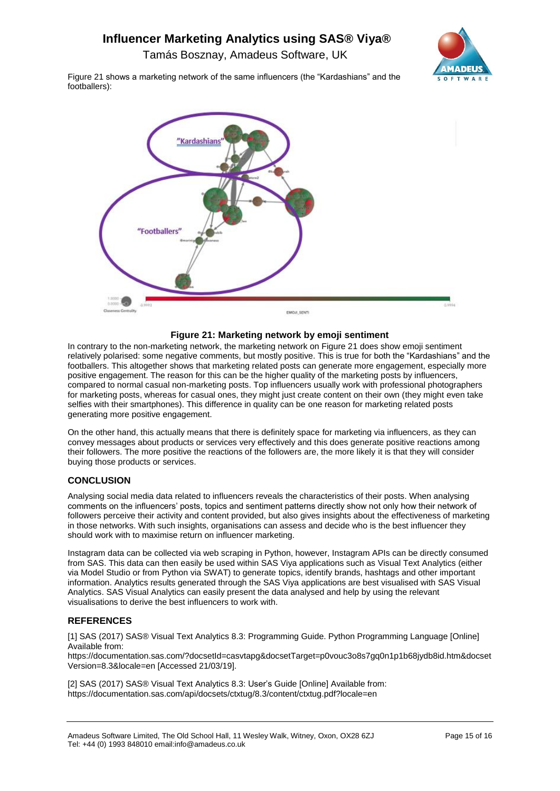Tamás Bosznay, Amadeus Software, UK



Figure 21 shows a marketing network of the same influencers (the "Kardashians" and the footballers):



#### **Figure 21: Marketing network by emoji sentiment**

In contrary to the non-marketing network, the marketing network on Figure 21 does show emoji sentiment relatively polarised: some negative comments, but mostly positive. This is true for both the "Kardashians" and the footballers. This altogether shows that marketing related posts can generate more engagement, especially more positive engagement. The reason for this can be the higher quality of the marketing posts by influencers, compared to normal casual non-marketing posts. Top influencers usually work with professional photographers for marketing posts, whereas for casual ones, they might just create content on their own (they might even take selfies with their smartphones). This difference in quality can be one reason for marketing related posts generating more positive engagement.

On the other hand, this actually means that there is definitely space for marketing via influencers, as they can convey messages about products or services very effectively and this does generate positive reactions among their followers. The more positive the reactions of the followers are, the more likely it is that they will consider buying those products or services.

### **CONCLUSION**

Analysing social media data related to influencers reveals the characteristics of their posts. When analysing comments on the influencers' posts, topics and sentiment patterns directly show not only how their network of followers perceive their activity and content provided, but also gives insights about the effectiveness of marketing in those networks. With such insights, organisations can assess and decide who is the best influencer they should work with to maximise return on influencer marketing.

Instagram data can be collected via web scraping in Python, however, Instagram APIs can be directly consumed from SAS. This data can then easily be used within SAS Viya applications such as Visual Text Analytics (either via Model Studio or from Python via SWAT) to generate topics, identify brands, hashtags and other important information. Analytics results generated through the SAS Viya applications are best visualised with SAS Visual Analytics. SAS Visual Analytics can easily present the data analysed and help by using the relevant visualisations to derive the best influencers to work with.

### **REFERENCES**

[1] SAS (2017) SAS® Visual Text Analytics 8.3: Programming Guide. Python Programming Language [Online] Available from:

[https://documentation.sas.com/?docsetId=casvtapg&docsetTarget=p0vouc3o8s7gq0n1p1b68jydb8id.htm&docset](https://documentation.sas.com/?docsetId=casvtapg&docsetTarget=p0vouc3o8s7gq0n1p1b68jydb8id.htm&docsetVersion=8.3&locale=en) [Version=8.3&locale=en](https://documentation.sas.com/?docsetId=casvtapg&docsetTarget=p0vouc3o8s7gq0n1p1b68jydb8id.htm&docsetVersion=8.3&locale=en) [Accessed 21/03/19].

[2] SAS (2017) SAS® Visual Text Analytics 8.3: User's Guide [Online] Available from: <https://documentation.sas.com/api/docsets/ctxtug/8.3/content/ctxtug.pdf?locale=en>